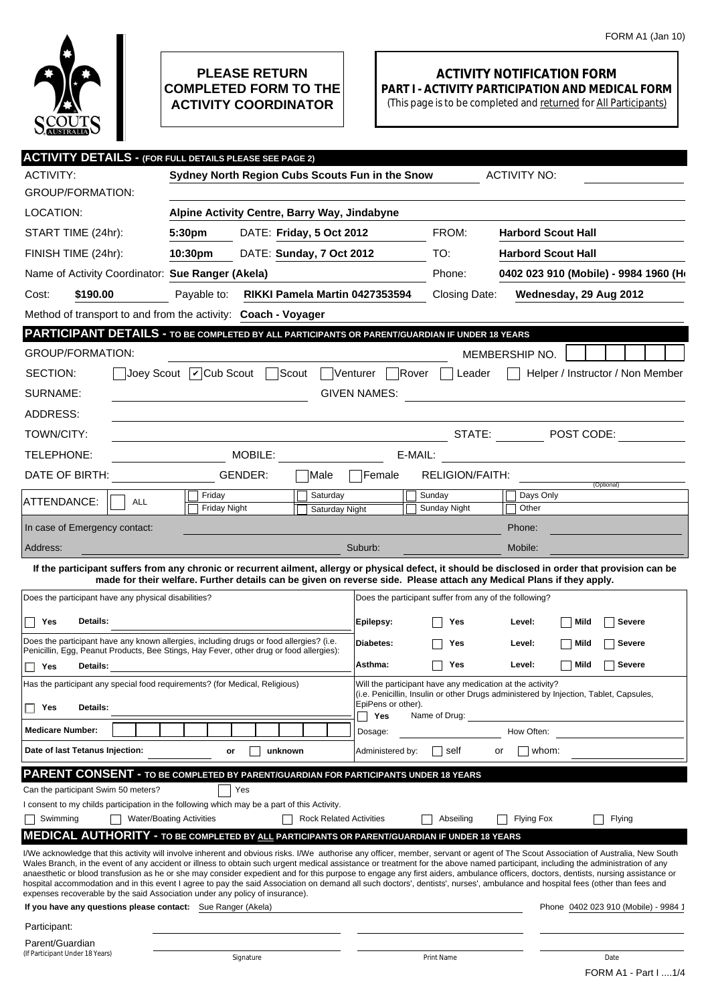

## **PLEASE RETURN COMPLETED FORM TO THE ACTIVITY COORDINATOR**

## **ACTIVITY NOTIFICATION FORM PART I - ACTIVITY PARTICIPATION AND MEDICAL FORM**

(This page is to be completed and returned for All Participants)

|                                                                                                              | <b>ACTIVITY DETAILS - (FOR FULL DETAILS PLEASE SEE PAGE 2)</b>                                                                                                                                                                                                                                                                                                                                                                                                                                                                                            |                                                                                                                  |                                                                                                                                                                                                                                                                                                                                                                                                                  |  |  |
|--------------------------------------------------------------------------------------------------------------|-----------------------------------------------------------------------------------------------------------------------------------------------------------------------------------------------------------------------------------------------------------------------------------------------------------------------------------------------------------------------------------------------------------------------------------------------------------------------------------------------------------------------------------------------------------|------------------------------------------------------------------------------------------------------------------|------------------------------------------------------------------------------------------------------------------------------------------------------------------------------------------------------------------------------------------------------------------------------------------------------------------------------------------------------------------------------------------------------------------|--|--|
| <b>ACTIVITY:</b>                                                                                             | Sydney North Region Cubs Scouts Fun in the Snow                                                                                                                                                                                                                                                                                                                                                                                                                                                                                                           |                                                                                                                  | <b>ACTIVITY NO:</b>                                                                                                                                                                                                                                                                                                                                                                                              |  |  |
| <b>GROUP/FORMATION:</b>                                                                                      |                                                                                                                                                                                                                                                                                                                                                                                                                                                                                                                                                           |                                                                                                                  |                                                                                                                                                                                                                                                                                                                                                                                                                  |  |  |
| LOCATION:                                                                                                    | Alpine Activity Centre, Barry Way, Jindabyne                                                                                                                                                                                                                                                                                                                                                                                                                                                                                                              |                                                                                                                  |                                                                                                                                                                                                                                                                                                                                                                                                                  |  |  |
| START TIME (24hr):                                                                                           | DATE: Friday, 5 Oct 2012<br>5:30 <sub>pm</sub>                                                                                                                                                                                                                                                                                                                                                                                                                                                                                                            | FROM:                                                                                                            | <b>Harbord Scout Hall</b>                                                                                                                                                                                                                                                                                                                                                                                        |  |  |
| FINISH TIME (24hr):                                                                                          | 10:30pm<br>DATE: Sunday, 7 Oct 2012                                                                                                                                                                                                                                                                                                                                                                                                                                                                                                                       | TO:                                                                                                              | <b>Harbord Scout Hall</b>                                                                                                                                                                                                                                                                                                                                                                                        |  |  |
| Name of Activity Coordinator: Sue Ranger (Akela)                                                             |                                                                                                                                                                                                                                                                                                                                                                                                                                                                                                                                                           | Phone:                                                                                                           | 0402 023 910 (Mobile) - 9984 1960 (Ho                                                                                                                                                                                                                                                                                                                                                                            |  |  |
| \$190.00<br>Cost:                                                                                            | Payable to:<br>RIKKI Pamela Martin 0427353594                                                                                                                                                                                                                                                                                                                                                                                                                                                                                                             | Closing Date:                                                                                                    | Wednesday, 29 Aug 2012                                                                                                                                                                                                                                                                                                                                                                                           |  |  |
|                                                                                                              | Method of transport to and from the activity: Coach - Voyager                                                                                                                                                                                                                                                                                                                                                                                                                                                                                             |                                                                                                                  |                                                                                                                                                                                                                                                                                                                                                                                                                  |  |  |
|                                                                                                              | PARTICIPANT DETAILS - TO BE COMPLETED BY ALL PARTICIPANTS OR PARENT/GUARDIAN IF UNDER 18 YEARS                                                                                                                                                                                                                                                                                                                                                                                                                                                            |                                                                                                                  |                                                                                                                                                                                                                                                                                                                                                                                                                  |  |  |
| <b>GROUP/FORMATION:</b>                                                                                      |                                                                                                                                                                                                                                                                                                                                                                                                                                                                                                                                                           |                                                                                                                  | MEMBERSHIP NO.                                                                                                                                                                                                                                                                                                                                                                                                   |  |  |
| SECTION:                                                                                                     | Joey Scout   Cub Scout   Scout                                                                                                                                                                                                                                                                                                                                                                                                                                                                                                                            | Venturer  <br>Rover<br>Leader                                                                                    | Helper / Instructor / Non Member                                                                                                                                                                                                                                                                                                                                                                                 |  |  |
| SURNAME:                                                                                                     |                                                                                                                                                                                                                                                                                                                                                                                                                                                                                                                                                           | GIVEN NAMES:                                                                                                     |                                                                                                                                                                                                                                                                                                                                                                                                                  |  |  |
| ADDRESS:                                                                                                     |                                                                                                                                                                                                                                                                                                                                                                                                                                                                                                                                                           |                                                                                                                  |                                                                                                                                                                                                                                                                                                                                                                                                                  |  |  |
| TOWN/CITY:                                                                                                   |                                                                                                                                                                                                                                                                                                                                                                                                                                                                                                                                                           |                                                                                                                  | STATE: The POST CODE:                                                                                                                                                                                                                                                                                                                                                                                            |  |  |
| TELEPHONE:                                                                                                   | MOBILE:                                                                                                                                                                                                                                                                                                                                                                                                                                                                                                                                                   | E-MAIL:                                                                                                          |                                                                                                                                                                                                                                                                                                                                                                                                                  |  |  |
| DATE OF BIRTH:                                                                                               | GENDER:<br> Male                                                                                                                                                                                                                                                                                                                                                                                                                                                                                                                                          | <b>RELIGION/FAITH:</b><br>Female                                                                                 |                                                                                                                                                                                                                                                                                                                                                                                                                  |  |  |
| ATTENDANCE:<br><b>ALL</b>                                                                                    | Friday<br>Saturday<br><b>Friday Night</b><br>Saturday Night                                                                                                                                                                                                                                                                                                                                                                                                                                                                                               | Sunday<br>Sunday Night                                                                                           | (Optional)<br>Days Only<br>Other                                                                                                                                                                                                                                                                                                                                                                                 |  |  |
| In case of Emergency contact:                                                                                |                                                                                                                                                                                                                                                                                                                                                                                                                                                                                                                                                           |                                                                                                                  | Phone:                                                                                                                                                                                                                                                                                                                                                                                                           |  |  |
| Address:                                                                                                     |                                                                                                                                                                                                                                                                                                                                                                                                                                                                                                                                                           | Suburb:                                                                                                          | Mobile:                                                                                                                                                                                                                                                                                                                                                                                                          |  |  |
| Does the participant have any physical disabilities?<br>Details:<br>Yes<br>$\blacksquare$<br>Yes<br>Details: | Does the participant have any known allergies, including drugs or food allergies? (i.e.<br>Penicillin, Egg, Peanut Products, Bee Stings, Hay Fever, other drug or food allergies):                                                                                                                                                                                                                                                                                                                                                                        | Does the participant suffer from any of the following?<br>Epilepsy:<br>Yes<br>Diabetes:<br>Yes<br>Asthma:<br>Yes | Mild<br><b>Severe</b><br>Level:<br>Mild<br><b>Severe</b><br>Level:<br>Mild<br><b>Severe</b><br>Level:                                                                                                                                                                                                                                                                                                            |  |  |
|                                                                                                              | Has the participant any special food requirements? (for Medical, Religious)                                                                                                                                                                                                                                                                                                                                                                                                                                                                               | Will the participant have any medication at the activity?                                                        | (i.e. Penicillin, Insulin or other Drugs administered by Injection, Tablet, Capsules,                                                                                                                                                                                                                                                                                                                            |  |  |
| Details:<br>□ Yes                                                                                            |                                                                                                                                                                                                                                                                                                                                                                                                                                                                                                                                                           | EpiPens or other).<br>Yes<br>Name of Drug:                                                                       |                                                                                                                                                                                                                                                                                                                                                                                                                  |  |  |
| <b>Medicare Number:</b>                                                                                      |                                                                                                                                                                                                                                                                                                                                                                                                                                                                                                                                                           | Dosage:                                                                                                          | How Often:                                                                                                                                                                                                                                                                                                                                                                                                       |  |  |
| Date of last Tetanus Injection:                                                                              | unknown<br>or                                                                                                                                                                                                                                                                                                                                                                                                                                                                                                                                             | Administered by:<br>self                                                                                         | whom:<br>or                                                                                                                                                                                                                                                                                                                                                                                                      |  |  |
|                                                                                                              | PARENT CONSENT - TO BE COMPLETED BY PARENT/GUARDIAN FOR PARTICIPANTS UNDER 18 YEARS<br>Yes<br>I consent to my childs participation in the following which may be a part of this Activity.                                                                                                                                                                                                                                                                                                                                                                 |                                                                                                                  |                                                                                                                                                                                                                                                                                                                                                                                                                  |  |  |
| Swimming                                                                                                     | <b>Water/Boating Activities</b><br><b>Rock Related Activities</b>                                                                                                                                                                                                                                                                                                                                                                                                                                                                                         | Abseiling                                                                                                        | <b>Flying Fox</b><br>Flying                                                                                                                                                                                                                                                                                                                                                                                      |  |  |
| If you have any questions please contact: Sue Ranger (Akela)                                                 | <b>MEDICAL AUTHORITY - TO BE COMPLETED BY ALL PARTICIPANTS OR PARENT/GUARDIAN IF UNDER 18 YEARS</b><br>Wales Branch, in the event of any accident or illness to obtain such urgent medical assistance or treatment for the above named participant, including the administration of any<br>hospital accommodation and in this event I agree to pay the said Association on demand all such doctors', dentists', nurses', ambulance and hospital fees (other than fees and<br>expenses recoverable by the said Association under any policy of insurance). |                                                                                                                  | I/We acknowledge that this activity will involve inherent and obvious risks. I/We authorise any officer, member, servant or agent of The Scout Association of Australia, New South<br>anaesthetic or blood transfusion as he or she may consider expedient and for this purpose to engage any first aiders, ambulance officers, doctors, dentists, nursing assistance or<br>Phone 0402 023 910 (Mobile) - 9984 1 |  |  |
| Can the participant Swim 50 meters?                                                                          |                                                                                                                                                                                                                                                                                                                                                                                                                                                                                                                                                           |                                                                                                                  |                                                                                                                                                                                                                                                                                                                                                                                                                  |  |  |
| Participant:<br>Parent/Guardian<br>(If Participant Under 18 Years)                                           |                                                                                                                                                                                                                                                                                                                                                                                                                                                                                                                                                           |                                                                                                                  |                                                                                                                                                                                                                                                                                                                                                                                                                  |  |  |